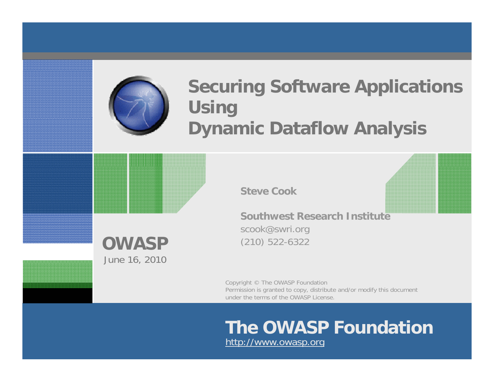

## **Securing Software Applications Using Dynamic Dataflow Analysis**

**Steve Cook**

**OWASP**June 16, 2010

**Southwest Research Institute**scook@swri.org (210) 522-6322

Copyright © The OWASP Foundation Permission is granted to copy, distribute and/or modify this document under the terms of the OWASP License.

# **The OWASP Foundation**

http://www.owasp.org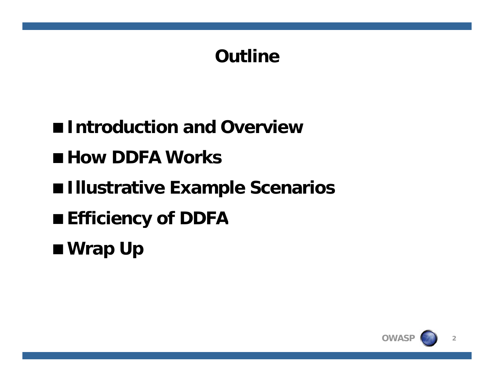# **Outline**

**Introduction and Overview**

■ How DDFA Works

 $\blacksquare$  **Illustrative Example Scenarios** 

**Efficiency of DDFA**

**Wrap Up**

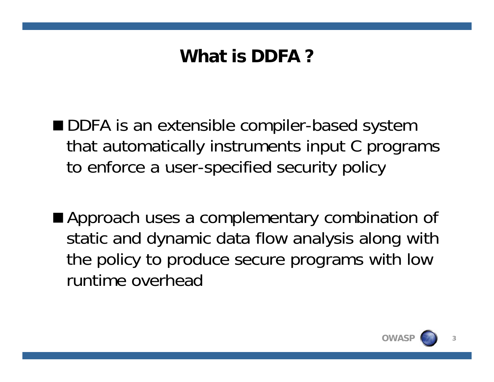# **What is DDFA ?**

■ DDFA is an extensible compiler-based system that automatically instruments input C programs to enforce a user-specified security policy

■ Approach uses a complementary combination of static and dynamic data flow analysis along with the policy to produce secure programs with low runtime overhead

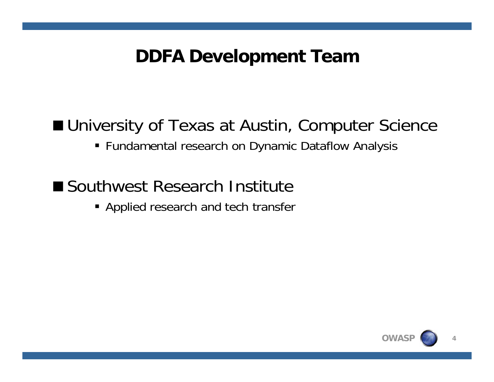#### **DDFA Development Team**

# ■ University of Texas at Austin, Computer Science

Fundamental research on Dynamic Dataflow Analysis

## ■ Southwest Research Institute

Applied research and tech transfer

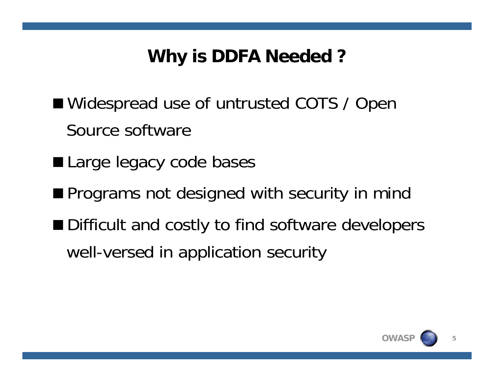# **Why is DDFA Needed ?**

- Widespread use of untrusted COTS / Open Source software
- Large legacy code bases
- **Programs not designed with security in mind**
- Difficult and costly to find software developers well-versed in application security

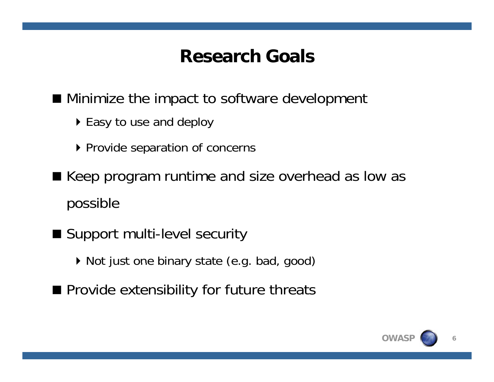## **Research Goals**

■ Minimize the impact to software development

- $\blacktriangleright$  Easy to use and deploy
- ▶ Provide separation of concerns
- Keep program runtime and size overhead as low as possible
- Support multi-level security
	- Not just one binary state (e.g. bad, good)
- **Provide extensibility for future threats**

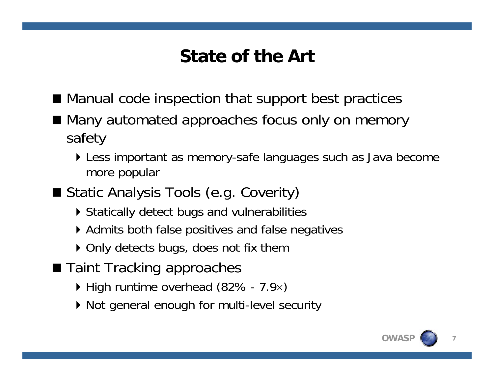# **State of the Art**

- Manual code inspection that support best practices
- Many automated approaches focus only on memory safety
	- Less important as memory-safe languages such as Java become more popular
- Static Analysis Tools (e.g. Coverity)
	- Statically detect bugs and vulnerabilities
	- ▶ Admits both false positives and false negatives
	- ▶ Only detects bugs, does not fix them
- Taint Tracking approaches
	- $\blacktriangleright$  High runtime overhead (82% 7.9x)
	- $\blacktriangleright$  Not general enough for multi-level security

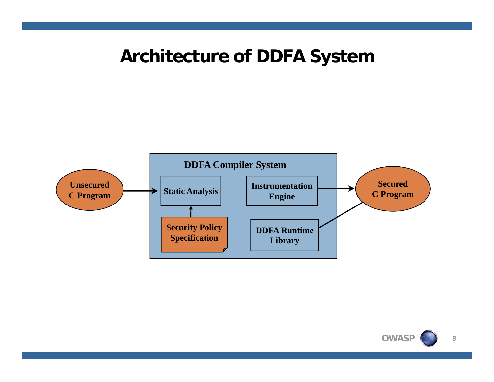#### **Architecture of DDFA System**



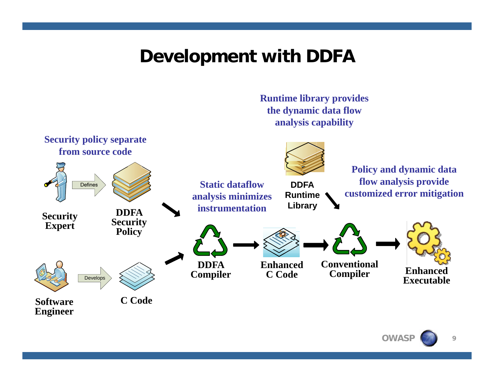#### **Development with DDFA**



**OWAS**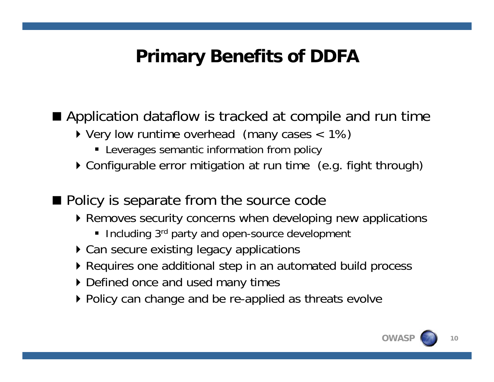# **Primary Benefits of DDFA**

#### $\blacksquare$  Application dataflow is tracked at compile and run time

- $\triangleright$  Very low runtime overhead (many cases  $\lt$  1%)
	- Leverages semantic information from policy
- $\triangleright$  Configurable error mitigation at run time (e.g. fight through)
- Policy is separate from the source code
	- $\blacktriangleright$  Removes security concerns when developing new applications
		- Including 3<sup>rd</sup> party and open-source development
	- ▶ Can secure existing legacy applications
	- $\blacktriangleright$  Requires one additional step in an automated build process
	- Defined once and used many times
	- ▶ Policy can change and be re-applied as threats evolve



**10**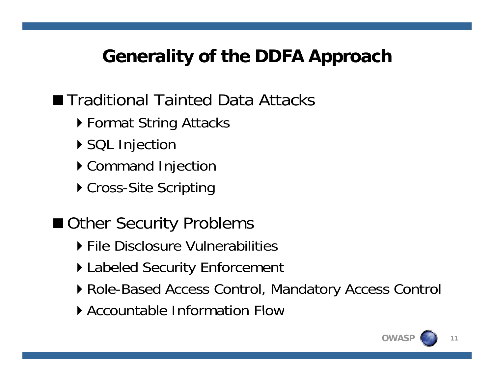# **Generality of the DDFA Approach**

# ■ Traditional Tainted Data Attacks

- $\blacktriangleright$  Format String Attacks
- ▶ SQL Injection
- ▶ Command Injection
- ▶ Cross-Site Scripting

# ■ Other Security Problems

- **File Disclosure Vulnerabilities**
- $\blacktriangleright$  Labeled Security Enforcement
- Role-Based Access Control, Mandatory Access Control
- Accountable Information Flow

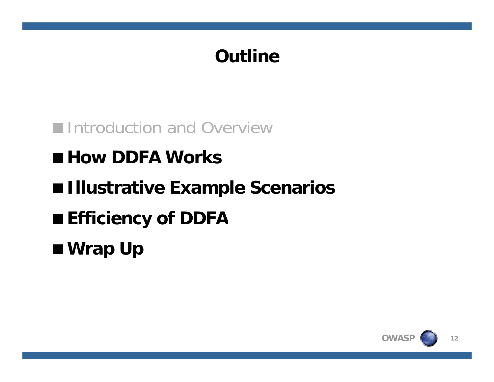# **Outline**

**Introduction and Overview** 

■ How DDFA Works

**Illustrative Example Scenarios**

**Efficiency of DDFA**

**Wrap Up**

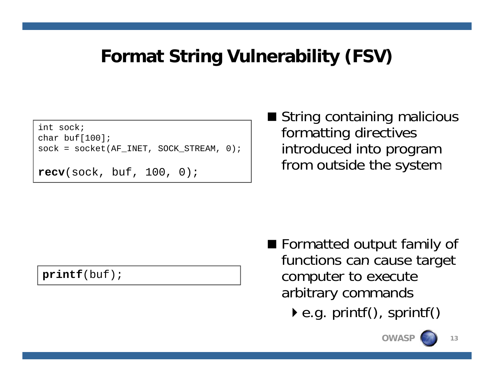# **Format String Vulnerability (FSV)**

int sock;char buf $[100]$ ;  $sock = socket(AF_INET, SOCK_STREAM, 0);$ 

```
recv(sock, buf, 100, 0);
```
■ String containing malicious formatting directives introduced into program from outside the system

**printf**(buf);

- **Formatted output family of** functions can cause target computer to execute arbitrary commands
	- $\blacktriangleright$  e.g. printf(), sprintf()

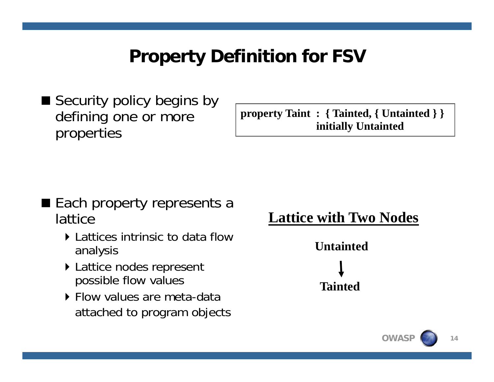# **Property Definition for FSV**

■ Security policy begins by defining one or more properties

**g**  $\Omega$  **one or more**  $\longrightarrow$  **property Taint : { Tainted, { Untainted } } initially Untainted**

- Each property represents a lattice
	- **EXEC** Lattices intrinsic to data flow analysis
	- $\blacktriangleright$  Lattice nodes represent possible flow values
	- **Flow values are meta-data** attached to program objects



**14**

**OWAS**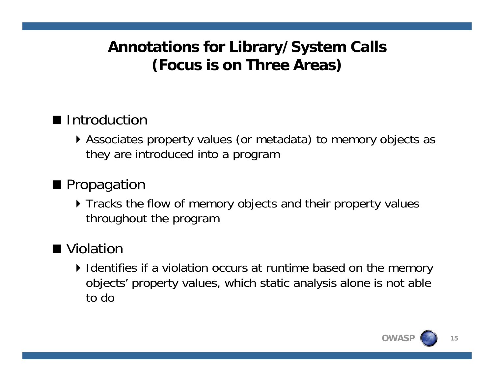#### **Annotations for Library/System Calls ( ) Focus is on Three Areas**

#### ■ Introduction

Associates property values (or metadata) to memory objects as they are introduced into a program

#### **Propagation**

**Tracks the flow of memory objects and their property values** throughout the program

#### ■ Violation

 $\blacktriangleright$  Identifies if a violation occurs at runtime based on the memory objects' property values, which static analysis alone is not able to do

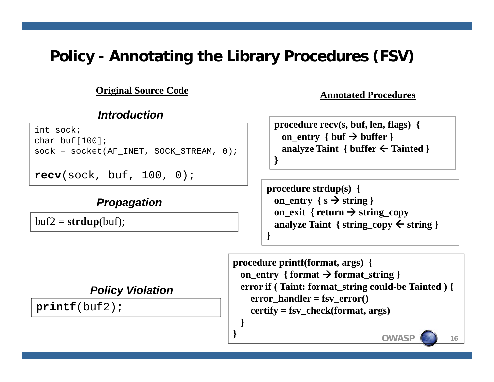#### **Policy - Annotating the Library Procedures (FSV)**

**}**

**}**

**Annotated Procedures Original Source Code**

#### *Introduction*

int sock;char buf[100];  $sock = socket(AF INET, SOCK STREAM, 0);$ 

```
recv(sock, buf, 100, 0);
```
#### *Propagation*

 $\text{buf2} = \text{strdup}( \text{buf})$ ;

**procedure recv(s, buf, len, flags) { on\_entry { buf buffer } analyze Taint { buffer Tainted }**

**procedure strdup(s) {** on\_entry  $\{s \rightarrow$  string  $\}$  $\frac{1}{2}$  **on exit** { **return**  $\rightarrow$  string copy<br>buf2 = strdup(buf): \_exit { return → string\_copy **analyze Taint { string\_copy string } }**

> **procedure printf(format args) { printf(format, on\_entry { format format\_string } error if ( Taint: format\_string could-be Tainted ) { error** handler = fsv  $error()$ **certify <sup>=</sup> fsv check(format args)** certify = fsv\_check(format,<br>}

> > **OWASP**

**16**

#### *Policy Violation*

**printf**(buf2); **<sup>p</sup>** ( );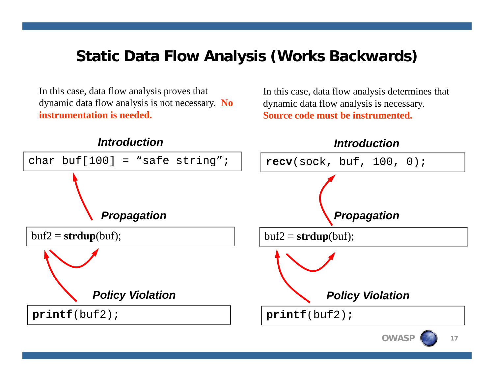#### **Static Data Flow Analysis (Works Backwards)**

In this case, data flow analysis proves that dynamic data flow analysis is not necessary. **No instrumentation is needed.**

In this case, data flow analysis determines that dynamic data flow analysis is necessary. **Source code must be instrumented.**

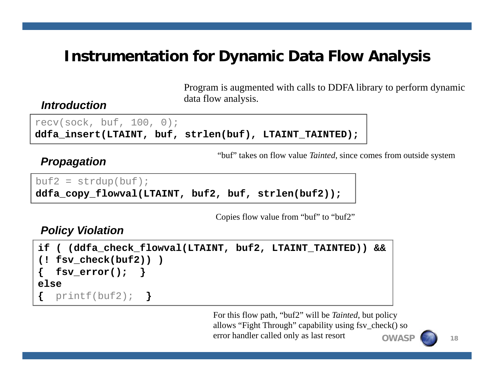#### **Instrumentation for Dynamic Data Flow Analysis**

Program is augmented with calls to DDFA library to perform dynamic data flow analysis.

#### *Introduction*

 $recv(sock, but, 100, 0);$ **ddfa\_insert(LTAINT, buf, strlen(buf), LTAINT\_TAINTED);**

"buf" takes on flow value *Tainted*, since comes from outside system

#### *Prop a gation*

```
buf2 = strdup(buf);ddfa_copy_flowval(LTAINT, buf2, buf, strlen(buf2));
```
Copies flow value from "buf" to "buf2"

#### *Policy Violation*

```
if ( (ddfa_check_flowval(LTAINT, buf2, LTAINT_TAINTED)) && 
(! fsv check(buf2)) )
 fsv_check(buf2)) { fsv_error(); }
else{ printf(buf2);
                      }
```
**OWASP**For this flow path, "buf2" will be *Tainted*, but policy allows "Fight Through" capability using fsv\_check() so error handler called only as last resort

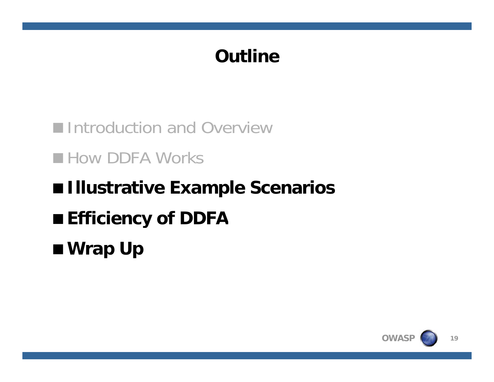# **Outline**

**Introduction and Overview How DDFA Works Illustrative Example Scenarios Efficiency of DDFA Wrap Up**

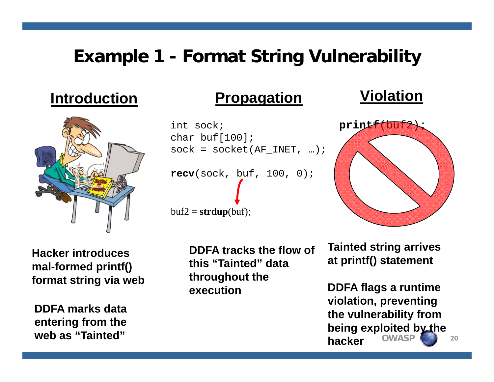## **Example 1 - Format String Vulnerability**

#### **Introduction**



**Hacker introducesll**-formed printf() format string via web

**entering from the web as "Tainted"**

#### **Propagation Violation**

```
int sock;char buf[100];
sock = socket(AF_INET, ...);recv(sock, buf, 100, 0);
buf2 = strdup(buf);
```
**DDFA tracks the flow of this"Tainted" data Tainted**mal-formed printf() this "Tainted" data at printf() statement **throughout the execution**



**Tainted string arrives**  

**DDFA flags a runtime violation, preventing hold by the video of the contract of the contract of the vulnerability from**  $\mathbf{f}$ **OWASPbeing exploited by the hacker**

**20**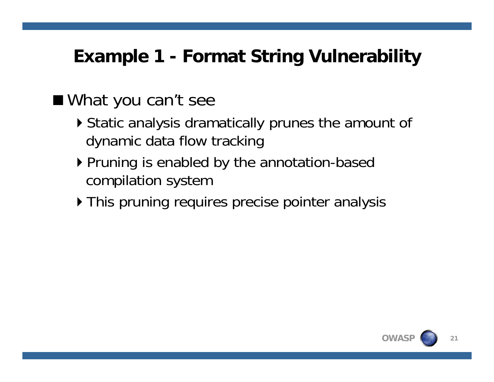# **Example 1 - Format String Vulnerability**

## What you can't see

- $\blacktriangleright$  Static analysis dramatically prunes the amount of dynamic data flow tracking
- $\blacktriangleright$  Pruning is enabled by the annotation-based compilation system
- ▶ This pruning requires precise pointer analysis

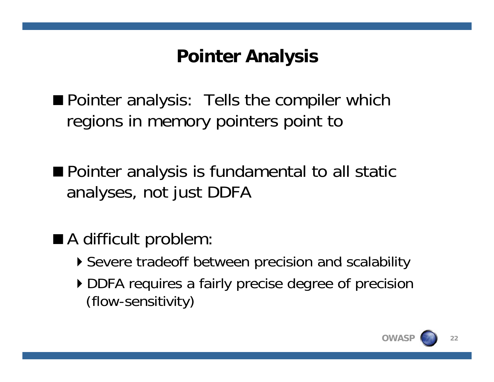# **Pointer Analysis**

**Pointer analysis: Tells the compiler which** regions in memory pointers point to

 $\blacksquare$  Pointer analysis is fundamental to all static analyses, not just DDFA

- A difficult problem:
	- Severe tradeoff between precision and scalability
	- DDFA requires a fairly precise degree of precision (flow-sensitivity)

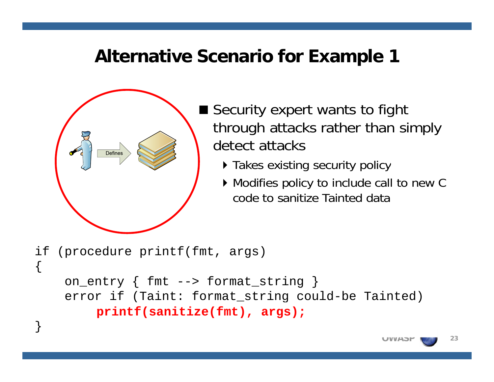#### **Alternative Scenario for Example 1**



{

}

- Security expert wants to fight through attacks rather than simply detect attacks
	- **Takes existing security policy**
	- Modifies policy to include call to new C code to sanitize Tainted data

if (procedure printf(fmt, args)

```
on_entry { fmt --> format_string }
error if (Taint: format_string could-be Tainted)
     \texttt{printf}(\texttt{sanitize}(\texttt{fmt}), \texttt{args});
```
**23**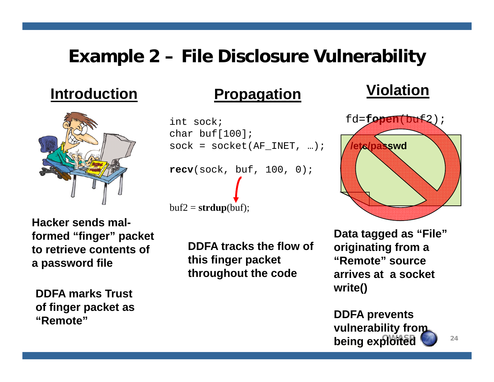#### **Example 2 – File Disclosure Vulnerability**

#### **Introduction**



**Hacker sends malformed "finger" packet to retrieve contents of <sup>a</sup> password file**

**DDFA marks Trust of finger pac ket as <sup>o</sup> ge et "Remote"**

#### **Violation Propagation**

```
int sock;char buf[100];
sock = socket(AF_INET, ...);{\tt recv}({\tt sock},~{\tt bulf},~100,~0);
buf2 = strdup(buf);
```
**DDFA tracks the flow of this finger packet Remote throughout the code**



**Data tagged as "File" originating from a "Remote" sourcearrives at a socket write()**

**DDFA t DDFA preven ts being exploited**  $\sum_{24}$ **vulnerability from**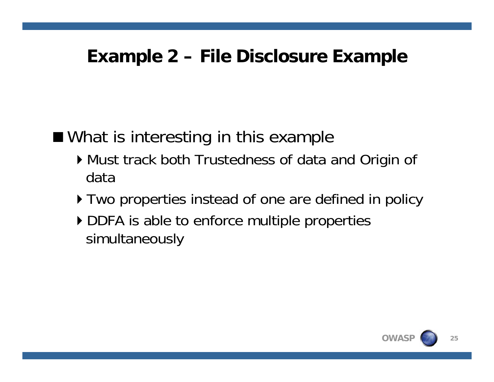#### **Example 2 – File Disclosure Example**

■ What is interesting in this example

- Must track both Trustedness of data and Ori gin of data
- $\triangleright$  Two properties instead of one are defined in policy
- $\blacktriangleright$  DDFA is able to enforce multiple properties simultaneously

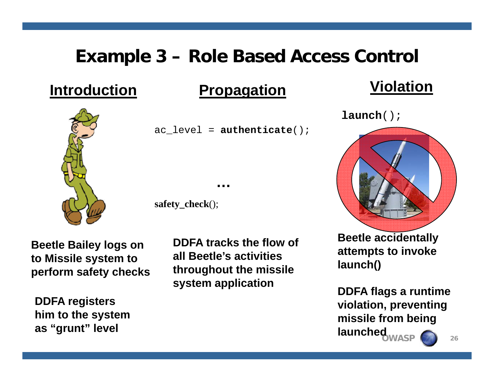## **Example 3 – Role Based Access Control**

#### **Introduction**

#### **Propagation Violation**

ac\_level = **authenticate**();

**…**

**safety\_check**();

**Beetle Bailey logs on to Missile s ystem to y perform safety checks throughout the missile** 

**DDFA registers hi t th t him to the sys tem as "grunt" level**

**DDFA tracks the flow of all Beetle's activities system application**

# **launch**();



**Beetle accidentally attempts to invoke launch()**

**DDFA flags a runtime violation, preventin g p OWASP 26 missile from being launched**

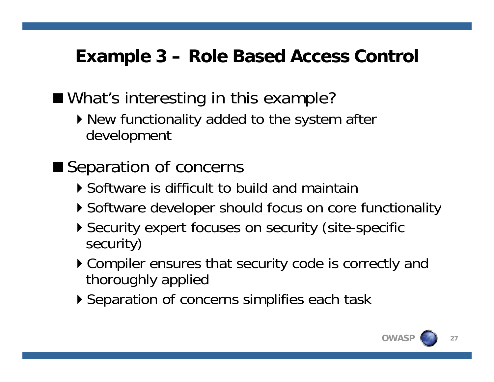# **Example 3 – Role Based Access Control**

What's interesting in this example?

 $\triangleright$  New functionality added to the system after development

■ Separation of concerns

- Software is difficult to build and maintain
- $\blacktriangleright$  Software developer should focus on core functionality
- Security expert focuses on security (site-specific security)
- Compiler ensures that security code is correctly and correctly and thoroughly applied
- ▶ Separation of concerns simplifies each task

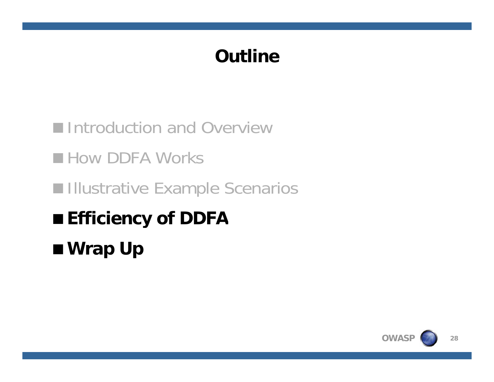# **Outline**

**Introduction and Overview How DDFA Works Illustrative Example Scenarios Efficiency of DDFA Wrap Up**

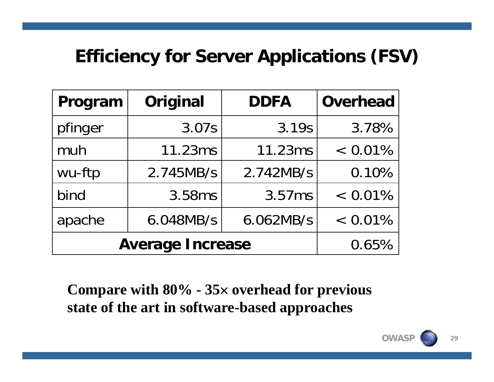# **Efficiency for Server Applications (FSV)**

| Program                 | Original  | <b>DDFA</b> | <b>Overhead</b> |
|-------------------------|-----------|-------------|-----------------|
| pfinger                 | 3.07s     | 3.19s       | 3.78%           |
| muh                     | 11.23ms   | 11.23ms     | $< 0.01\%$      |
| wu-ftp                  | 2.745MB/s | 2.742MB/s   | 0.10%           |
| bind                    | 3.58ms    | 3.57ms      | $< 0.01\%$      |
| apache                  | 6.048MB/s | 6.062MB/s   | $< 0.01\%$      |
| <b>Average Increase</b> | 0.65%     |             |                 |

**Compare with 80% - 35 overhead for previous state of the art in software -based approaches art based**

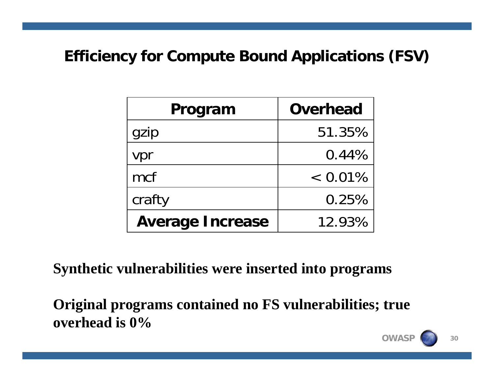#### **Efficiency for Compute Bound Applications (FSV)**

| Program                 | <b>Overhead</b> |  |
|-------------------------|-----------------|--|
| gzip                    | 51.35%          |  |
| vpr                     | 0.44%           |  |
| mcf                     | $< 0.01\%$      |  |
| crafty                  | 0.25%           |  |
| <b>Average Increase</b> | 12.93%          |  |

**Synthetic vulnerabilities were inserted into programs**

Original programs contained no FS vulnerabilities; true **overhead is 0%**

**OWAS**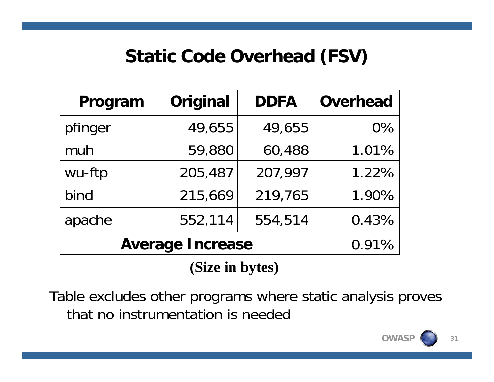## **Static Code Overhead (FSV)**

| Program                 | Original | <b>DDFA</b> | <b>Overhead</b> |
|-------------------------|----------|-------------|-----------------|
| pfinger                 | 49,655   | 49,655      | $0\%$           |
| muh                     | 59,880   | 60,488      | 1.01%           |
| wu-ftp                  | 205,487  | 207,997     | 1.22%           |
| bind                    | 215,669  | 219,765     | 1.90%           |
| apache                  | 552,114  | 554,514     | 0.43%           |
| <b>Average Increase</b> | 0.91%    |             |                 |

**(Si i b t ) (Size in y tes**

Table excludes other programs where static analysis proves that no instrumentation is needed



**31**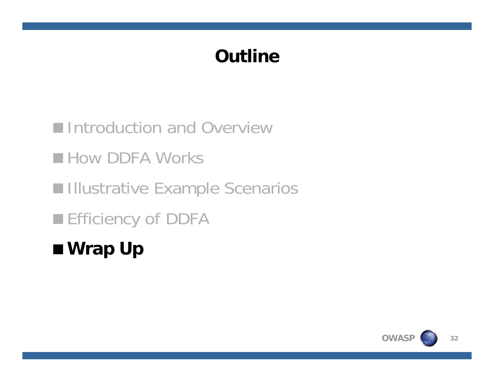# **Outline**

**Introduction and Overview How DDFA Works Illustrative Example Scenarios Efficiency of DDFA Wrap Up**

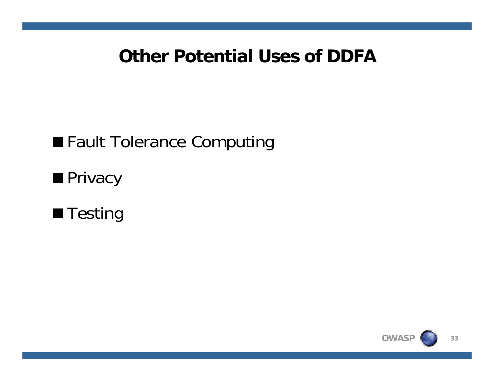#### **Other Potential Uses of DDFA**

# **Fault Tolerance Computing**

**Privacy** 



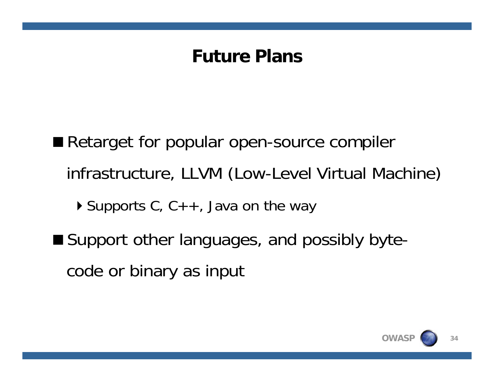### **Future Plans**

Retarget for popular open-source compiler infrastructure, LLVM (Low-Level Virtual Machine)  $\triangleright$  Supports C, C++, Java on the way ■ Support other languages, and possibly bytecode or binary as input